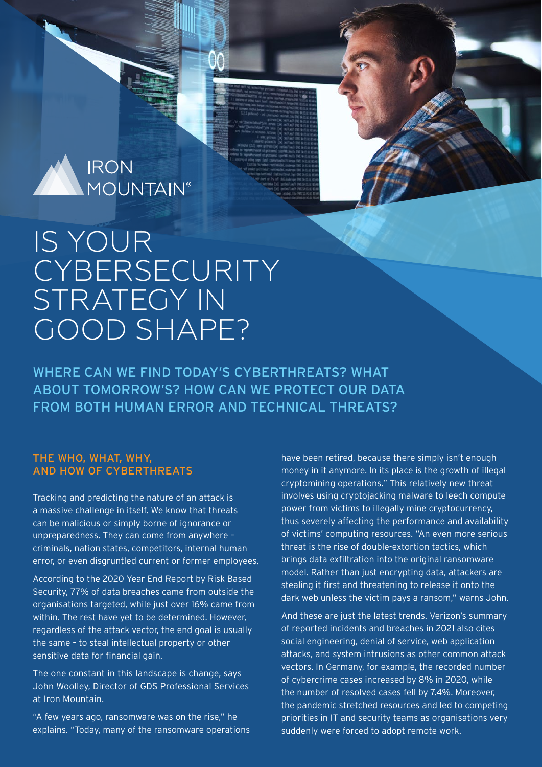

# IS YOUR **CYBERSECURITY** STRATEGY IN GOOD SHAPE?

WHERE CAN WE FIND TODAY'S CYBERTHREATS? WHAT ABOUT TOMORROW'S? HOW CAN WE PROTECT OUR DATA FROM BOTH HUMAN ERROR AND TECHNICAL THREATS?

#### THE WHO, WHAT, WHY, AND HOW OF CYBERTHREATS

Tracking and predicting the nature of an attack is a massive challenge in itself. We know that threats can be malicious or simply borne of ignorance or unpreparedness. They can come from anywhere – criminals, nation states, competitors, internal human error, or even disgruntled current or former employees.

According to the 2020 Year End Report by Risk Based Security, 77% of data breaches came from outside the organisations targeted, while just over 16% came from within. The rest have yet to be determined. However, regardless of the attack vector, the end goal is usually the same – to steal intellectual property or other sensitive data for financial gain.

The one constant in this landscape is change, says John Woolley, Director of GDS Professional Services at Iron Mountain.

"A few years ago, ransomware was on the rise," he explains. "Today, many of the ransomware operations have been retired, because there simply isn't enough money in it anymore. In its place is the growth of illegal cryptomining operations." This relatively new threat involves using cryptojacking malware to leech compute power from victims to illegally mine cryptocurrency, thus severely affecting the performance and availability of victims' computing resources. "An even more serious threat is the rise of double-extortion tactics, which brings data exfiltration into the original ransomware model. Rather than just encrypting data, attackers are stealing it first and threatening to release it onto the dark web unless the victim pays a ransom," warns John.

And these are just the latest trends. Verizon's summary of reported incidents and breaches in 2021 also cites social engineering, denial of service, web application attacks, and system intrusions as other common attack vectors. In Germany, for example, the recorded number of cybercrime cases increased by 8% in 2020, while the number of resolved cases fell by 7.4%. Moreover, the pandemic stretched resources and led to competing priorities in IT and security teams as organisations very suddenly were forced to adopt remote work.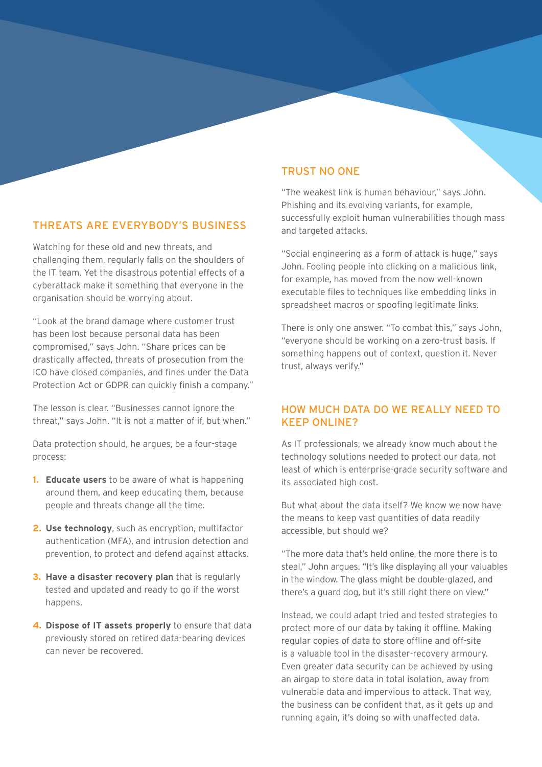### THREATS ARE EVERYBODY'S BUSINESS

Watching for these old and new threats, and challenging them, regularly falls on the shoulders of the IT team. Yet the disastrous potential effects of a cyberattack make it something that everyone in the organisation should be worrying about.

"Look at the brand damage where customer trust has been lost because personal data has been compromised," says John. "Share prices can be drastically affected, threats of prosecution from the ICO have closed companies, and fines under the Data Protection Act or GDPR can quickly finish a company."

The lesson is clear. "Businesses cannot ignore the threat," says John. "It is not a matter of if, but when."

Data protection should, he argues, be a four-stage process:

- **1. Educate users** to be aware of what is happening around them, and keep educating them, because people and threats change all the time.
- **2. Use technology**, such as encryption, multifactor authentication (MFA), and intrusion detection and prevention, to protect and defend against attacks.
- **3. Have a disaster recovery plan** that is regularly tested and updated and ready to go if the worst happens.
- **4. Dispose of IT assets properly** to ensure that data previously stored on retired data-bearing devices can never be recovered.

#### TRUST NO ONE

"The weakest link is human behaviour," says John. Phishing and its evolving variants, for example, successfully exploit human vulnerabilities though mass and targeted attacks.

"Social engineering as a form of attack is huge," says John. Fooling people into clicking on a malicious link, for example, has moved from the now well-known executable files to techniques like embedding links in spreadsheet macros or spoofing legitimate links.

There is only one answer. "To combat this," says John, "everyone should be working on a zero-trust basis. If something happens out of context, question it. Never trust, always verify."

#### HOW MUCH DATA DO WE REALLY NEED TO KEEP ONLINE?

As IT professionals, we already know much about the technology solutions needed to protect our data, not least of which is enterprise-grade security software and its associated high cost.

But what about the data itself? We know we now have the means to keep vast quantities of data readily accessible, but should we?

"The more data that's held online, the more there is to steal," John argues. "It's like displaying all your valuables in the window. The glass might be double-glazed, and there's a guard dog, but it's still right there on view."

Instead, we could adapt tried and tested strategies to protect more of our data by taking it offline. Making regular copies of data to store offline and off-site is a valuable tool in the disaster-recovery armoury. Even greater data security can be achieved by using an airgap to store data in total isolation, away from vulnerable data and impervious to attack. That way, the business can be confident that, as it gets up and running again, it's doing so with unaffected data.